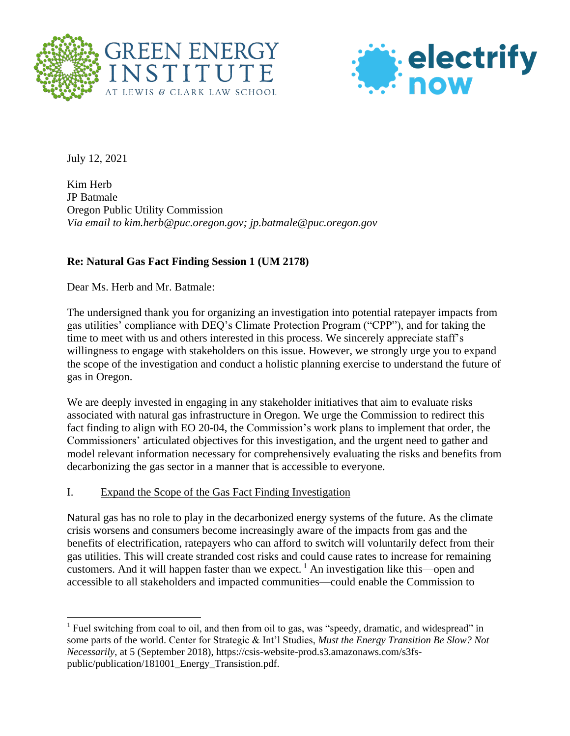



July 12, 2021

 $\overline{a}$ 

Kim Herb JP Batmale Oregon Public Utility Commission *Via email to kim.herb@puc.oregon.gov; jp.batmale@puc.oregon.gov*

## **Re: Natural Gas Fact Finding Session 1 (UM 2178)**

Dear Ms. Herb and Mr. Batmale:

The undersigned thank you for organizing an investigation into potential ratepayer impacts from gas utilities' compliance with DEQ's Climate Protection Program ("CPP"), and for taking the time to meet with us and others interested in this process. We sincerely appreciate staff's willingness to engage with stakeholders on this issue. However, we strongly urge you to expand the scope of the investigation and conduct a holistic planning exercise to understand the future of gas in Oregon.

We are deeply invested in engaging in any stakeholder initiatives that aim to evaluate risks associated with natural gas infrastructure in Oregon. We urge the Commission to redirect this fact finding to align with EO 20-04, the Commission's work plans to implement that order, the Commissioners' articulated objectives for this investigation, and the urgent need to gather and model relevant information necessary for comprehensively evaluating the risks and benefits from decarbonizing the gas sector in a manner that is accessible to everyone.

## I. Expand the Scope of the Gas Fact Finding Investigation

Natural gas has no role to play in the decarbonized energy systems of the future. As the climate crisis worsens and consumers become increasingly aware of the impacts from gas and the benefits of electrification, ratepayers who can afford to switch will voluntarily defect from their gas utilities. This will create stranded cost risks and could cause rates to increase for remaining customers. And it will happen faster than we expect.<sup>1</sup> An investigation like this—open and accessible to all stakeholders and impacted communities—could enable the Commission to

<sup>&</sup>lt;sup>1</sup> Fuel switching from coal to oil, and then from oil to gas, was "speedy, dramatic, and widespread" in some parts of the world. Center for Strategic & Int'l Studies, *Must the Energy Transition Be Slow? Not Necessarily*, at 5 (September 2018), https://csis-website-prod.s3.amazonaws.com/s3fspublic/publication/181001\_Energy\_Transistion.pdf.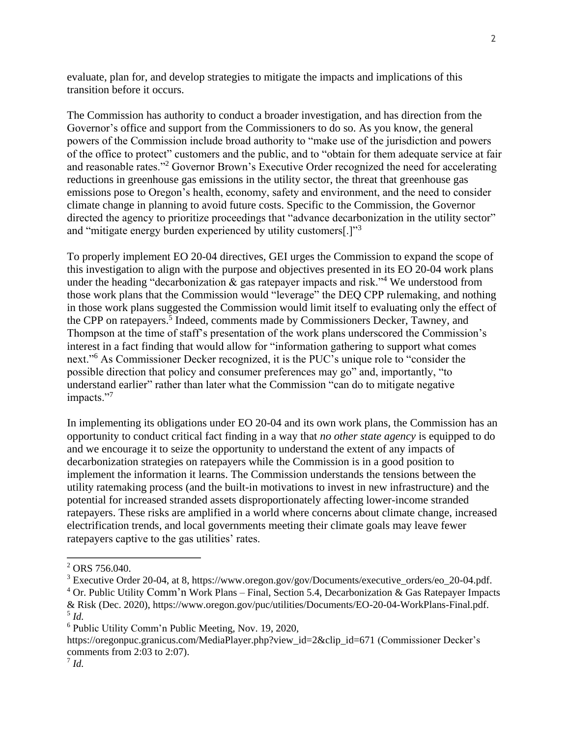evaluate, plan for, and develop strategies to mitigate the impacts and implications of this transition before it occurs.

The Commission has authority to conduct a broader investigation, and has direction from the Governor's office and support from the Commissioners to do so. As you know, the general powers of the Commission include broad authority to "make use of the jurisdiction and powers of the office to protect" customers and the public, and to "obtain for them adequate service at fair and reasonable rates."<sup>2</sup> Governor Brown's Executive Order recognized the need for accelerating reductions in greenhouse gas emissions in the utility sector, the threat that greenhouse gas emissions pose to Oregon's health, economy, safety and environment, and the need to consider climate change in planning to avoid future costs. Specific to the Commission, the Governor directed the agency to prioritize proceedings that "advance decarbonization in the utility sector" and "mitigate energy burden experienced by utility customers[.]"<sup>3</sup>

To properly implement EO 20-04 directives, GEI urges the Commission to expand the scope of this investigation to align with the purpose and objectives presented in its EO 20-04 work plans under the heading "decarbonization  $\&$  gas ratepayer impacts and risk."<sup>4</sup> We understood from those work plans that the Commission would "leverage" the DEQ CPP rulemaking, and nothing in those work plans suggested the Commission would limit itself to evaluating only the effect of the CPP on ratepayers.<sup>5</sup> Indeed, comments made by Commissioners Decker, Tawney, and Thompson at the time of staff's presentation of the work plans underscored the Commission's interest in a fact finding that would allow for "information gathering to support what comes next."<sup>6</sup> As Commissioner Decker recognized, it is the PUC's unique role to "consider the possible direction that policy and consumer preferences may go" and, importantly, "to understand earlier" rather than later what the Commission "can do to mitigate negative impacts."<sup>7</sup>

In implementing its obligations under EO 20-04 and its own work plans, the Commission has an opportunity to conduct critical fact finding in a way that *no other state agency* is equipped to do and we encourage it to seize the opportunity to understand the extent of any impacts of decarbonization strategies on ratepayers while the Commission is in a good position to implement the information it learns. The Commission understands the tensions between the utility ratemaking process (and the built-in motivations to invest in new infrastructure) and the potential for increased stranded assets disproportionately affecting lower-income stranded ratepayers. These risks are amplified in a world where concerns about climate change, increased electrification trends, and local governments meeting their climate goals may leave fewer ratepayers captive to the gas utilities' rates.

 $\overline{a}$ 

 $^{2}$  ORS 756.040.

<sup>&</sup>lt;sup>3</sup> Executive Order 20-04, at 8, https://www.oregon.gov/gov/Documents/executive\_orders/eo\_20-04.pdf.

 $4$  Or. Public Utility Comm'n Work Plans – Final, Section 5.4, Decarbonization & Gas Ratepayer Impacts & Risk (Dec. 2020), [https://www.oregon.gov/puc/utilities/Documents/EO-20-04-WorkPlans-Final.pdf.](https://www.oregon.gov/puc/utilities/Documents/EO-20-04-WorkPlans-Final.pdf) 5 *Id.*

<sup>6</sup> Public Utility Comm'n Public Meeting, Nov. 19, 2020,

[https://oregonpuc.granicus.com/MediaPlayer.php?view\\_id=2&clip\\_id=671](https://oregonpuc.granicus.com/MediaPlayer.php?view_id=2&clip_id=671) (Commissioner Decker's comments from 2:03 to 2:07).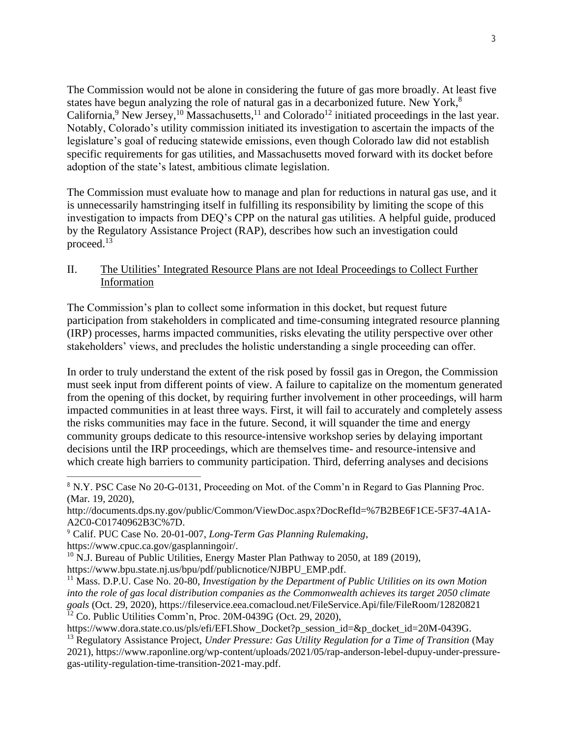The Commission would not be alone in considering the future of gas more broadly. At least five states have begun analyzing the role of natural gas in a decarbonized future. New York,<sup>8</sup> California,<sup>9</sup> New Jersey,<sup>10</sup> Massachusetts,<sup>11</sup> and Colorado<sup>12</sup> initiated proceedings in the last year. Notably, Colorado's utility commission initiated its investigation to ascertain the impacts of the legislature's goal of reducing statewide emissions, even though Colorado law did not establish specific requirements for gas utilities, and Massachusetts moved forward with its docket before adoption of the state's latest, ambitious climate legislation.

The Commission must evaluate how to manage and plan for reductions in natural gas use, and it is unnecessarily hamstringing itself in fulfilling its responsibility by limiting the scope of this investigation to impacts from DEQ's CPP on the natural gas utilities. A helpful guide, produced by the Regulatory Assistance Project (RAP), describes how such an investigation could proceed. 13

II. The Utilities' Integrated Resource Plans are not Ideal Proceedings to Collect Further Information

The Commission's plan to collect some information in this docket, but request future participation from stakeholders in complicated and time-consuming integrated resource planning (IRP) processes, harms impacted communities, risks elevating the utility perspective over other stakeholders' views, and precludes the holistic understanding a single proceeding can offer.

In order to truly understand the extent of the risk posed by fossil gas in Oregon, the Commission must seek input from different points of view. A failure to capitalize on the momentum generated from the opening of this docket, by requiring further involvement in other proceedings, will harm impacted communities in at least three ways. First, it will fail to accurately and completely assess the risks communities may face in the future. Second, it will squander the time and energy community groups dedicate to this resource-intensive workshop series by delaying important decisions until the IRP proceedings, which are themselves time- and resource-intensive and which create high barriers to community participation. Third, deferring analyses and decisions

 $\overline{a}$ 

<sup>8</sup> N.Y. PSC Case No 20-G-0131, Proceeding on Mot. of the Comm'n in Regard to Gas Planning Proc. (Mar. 19, 2020),

http://documents.dps.ny.gov/public/Common/ViewDoc.aspx?DocRefId=%7B2BE6F1CE-5F37-4A1A-A2C0-C01740962B3C%7D.

<sup>9</sup> Calif. PUC Case No. 20-01-007, *Long-Term Gas Planning Rulemaking*,

https://www.cpuc.ca.gov/gasplanningoir/.

 $10$  N.J. Bureau of Public Utilities, Energy Master Plan Pathway to 2050, at 189 (2019), https://www.bpu.state.nj.us/bpu/pdf/publicnotice/NJBPU\_EMP.pdf.

<sup>11</sup> Mass. D.P.U. Case No. 20-80, *Investigation by the Department of Public Utilities on its own Motion into the role of gas local distribution companies as the Commonwealth achieves its target 2050 climate goals* (Oct. 29, 2020), https://fileservice.eea.comacloud.net/FileService.Api/file/FileRoom/12820821  $12$  Co. Public Utilities Comm'n, Proc. 20M-0439G (Oct. 29, 2020),

https://www.dora.state.co.us/pls/efi/EFI.Show\_Docket?p\_session\_id=&p\_docket\_id=20M-0439G.

<sup>13</sup> Regulatory Assistance Project, *Under Pressure: Gas Utility Regulation for a Time of Transition* (May 2021), https://www.raponline.org/wp-content/uploads/2021/05/rap-anderson-lebel-dupuy-under-pressuregas-utility-regulation-time-transition-2021-may.pdf.